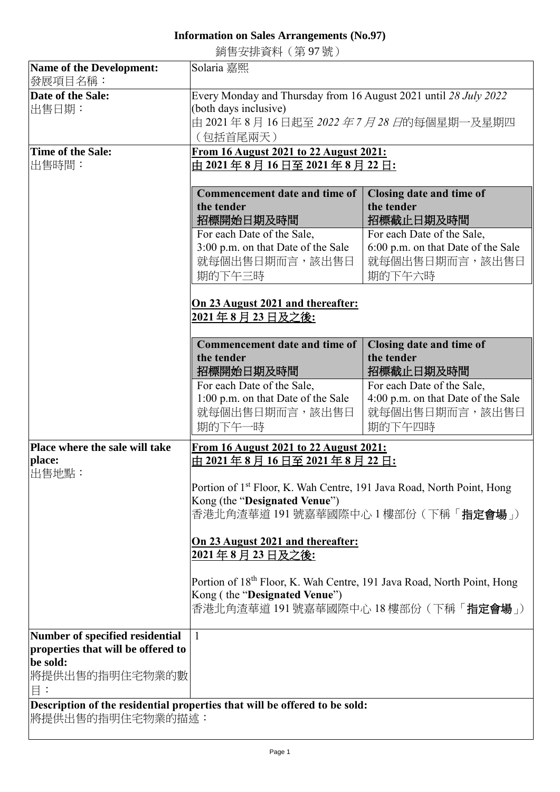## **Information on Sales Arrangements (No.97)**

銷售安排資料(第 97 號)

| <b>Name of the Development:</b>    | Solaria 嘉熙                                                                        |                                    |
|------------------------------------|-----------------------------------------------------------------------------------|------------------------------------|
| 發展項目名稱:                            |                                                                                   |                                    |
| Date of the Sale:                  | Every Monday and Thursday from 16 August 2021 until 28 July 2022                  |                                    |
| 出售日期:                              | (both days inclusive)<br>由 2021 年 8 月 16 日起至 <i>2022 年 7 月 28 日</i> 的每個星期一及星期四    |                                    |
|                                    |                                                                                   |                                    |
|                                    | (包括首尾兩天)                                                                          |                                    |
| <b>Time of the Sale:</b>           | From 16 August 2021 to 22 August 2021:                                            |                                    |
| 出售時間:                              | <u>由 2021 年 8 月 16 日至 2021 年 8 月 22 日:</u>                                        |                                    |
|                                    |                                                                                   |                                    |
|                                    | <b>Commencement date and time of</b>                                              | Closing date and time of           |
|                                    | the tender                                                                        | the tender                         |
|                                    | 招標開始日期及時間                                                                         | 招標截止日期及時間                          |
|                                    | For each Date of the Sale,                                                        | For each Date of the Sale,         |
|                                    | 3:00 p.m. on that Date of the Sale                                                | 6:00 p.m. on that Date of the Sale |
|                                    | 就每個出售日期而言,該出售日                                                                    | 就每個出售日期而言,該出售日                     |
|                                    | 期的下午三時                                                                            | 期的下午六時                             |
|                                    |                                                                                   |                                    |
|                                    | On 23 August 2021 and thereafter:                                                 |                                    |
|                                    | 2021年8月23日及之後:                                                                    |                                    |
|                                    |                                                                                   |                                    |
|                                    | <b>Commencement date and time of</b>                                              | Closing date and time of           |
|                                    | the tender                                                                        | the tender                         |
|                                    | 招標開始日期及時間                                                                         | 招標截止日期及時間                          |
|                                    | For each Date of the Sale,                                                        | For each Date of the Sale,         |
|                                    | 1:00 p.m. on that Date of the Sale                                                | 4:00 p.m. on that Date of the Sale |
|                                    | 就每個出售日期而言,該出售日                                                                    | 就每個出售日期而言,該出售日                     |
|                                    | 期的下午一時                                                                            | 期的下午四時                             |
|                                    | From 16 August 2021 to 22 August 2021:                                            |                                    |
| Place where the sale will take     |                                                                                   |                                    |
| place:                             | 由 2021 年 8 月 16 日至 2021 年 8 月 22 日:                                               |                                    |
| 出售地點:                              |                                                                                   |                                    |
|                                    | Portion of 1 <sup>st</sup> Floor, K. Wah Centre, 191 Java Road, North Point, Hong |                                    |
| Kong (the "Designated Venue")      |                                                                                   |                                    |
|                                    | 香港北角渣華道 191 號嘉華國際中心 1 樓部份 (下稱「 <b>指定會場</b> 」)                                     |                                    |
|                                    | On 23 August 2021 and thereafter:                                                 |                                    |
|                                    | <u> 2021年8月23日及之後:</u>                                                            |                                    |
|                                    |                                                                                   |                                    |
|                                    | Portion of 18th Floor, K. Wah Centre, 191 Java Road, North Point, Hong            |                                    |
|                                    | Kong (the "Designated Venue")                                                     |                                    |
|                                    | 香港北角渣華道 191 號嘉華國際中心 18 樓部份 ( 下稱「 <b>指定會場</b> 」)                                   |                                    |
|                                    |                                                                                   |                                    |
| Number of specified residential    | 1                                                                                 |                                    |
| properties that will be offered to |                                                                                   |                                    |
| be sold:                           |                                                                                   |                                    |
| 將提供出售的指明住宅物業的數                     |                                                                                   |                                    |
| $\Xi$ :                            |                                                                                   |                                    |
|                                    | Description of the residential properties that will be offered to be sold:        |                                    |
| 將提供出售的指明住宅物業的描述:                   |                                                                                   |                                    |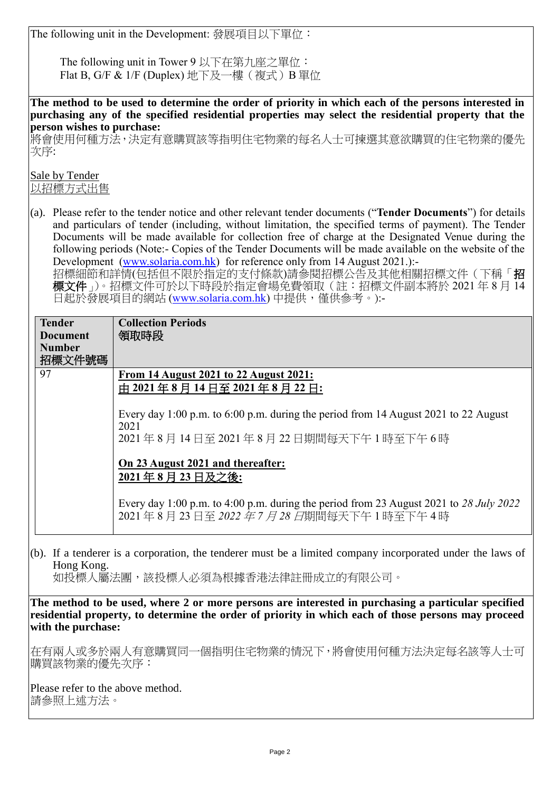The following unit in the Development: 發展項目以下單位:

The following unit in Tower 9 以下在第九座之單位: Flat B, G/F & 1/F (Duplex) 地下及一樓(複式) B 單位

**The method to be used to determine the order of priority in which each of the persons interested in purchasing any of the specified residential properties may select the residential property that the person wishes to purchase:**

將會使用何種方法,決定有意購買該等指明住宅物業的每名人士可揀選其意欲購買的住宅物業的優先 次序:

Sale by Tender 以招標方式出售

(a). Please refer to the tender notice and other relevant tender documents ("**Tender Documents**") for details and particulars of tender (including, without limitation, the specified terms of payment). The Tender Documents will be made available for collection free of charge at the Designated Venue during the following periods (Note:- Copies of the Tender Documents will be made available on the website of the Development [\(www.solaria.com.hk\)](http://www.solaria.com.hk/) for reference only from 14 August 2021.):-

招標細節和詳情(包括但不限於指定的支付條款)請參閱招標公告及其他相關招標文件(下稱「招 標文件」)。招標文件可於以下時段於指定會場免費領取(註:招標文件副本將於 2021 年 8 月 14 日起於發展項目的網站 [\(www.solaria.com.hk\)](http://www.solaria.com.hk/) 中提供,僅供參考。):-

| <b>Tender</b><br><b>Document</b><br><b>Number</b><br>招標文件號碼 | <b>Collection Periods</b><br>領取時段                                                                                                                          |
|-------------------------------------------------------------|------------------------------------------------------------------------------------------------------------------------------------------------------------|
| 97                                                          | From 14 August 2021 to 22 August 2021:<br>由 2021年8月14日至 2021年8月22日:<br>Every day 1:00 p.m. to 6:00 p.m. during the period from 14 August 2021 to 22 August |
|                                                             | 2021<br>2021年8月14日至2021年8月22日期間每天下午1時至下午6時                                                                                                                 |
|                                                             | On 23 August 2021 and thereafter:<br>2021年8月23日及之後:                                                                                                        |
|                                                             | Every day 1:00 p.m. to 4:00 p.m. during the period from 23 August 2021 to 28 July 2022<br>2021年8月23日至2022年7月28日期間每天下午1時至下午4時                               |

(b). If a tenderer is a corporation, the tenderer must be a limited company incorporated under the laws of Hong Kong. 如投標人屬法團,該投標人必須為根據香港法律註冊成立的有限公司。

**The method to be used, where 2 or more persons are interested in purchasing a particular specified residential property, to determine the order of priority in which each of those persons may proceed with the purchase:**

在有兩人或多於兩人有意購買同一個指明住宅物業的情況下,將會使用何種方法決定每名該等人士可 購買該物業的優先次序:

Please refer to the above method. 請參照上述方法。